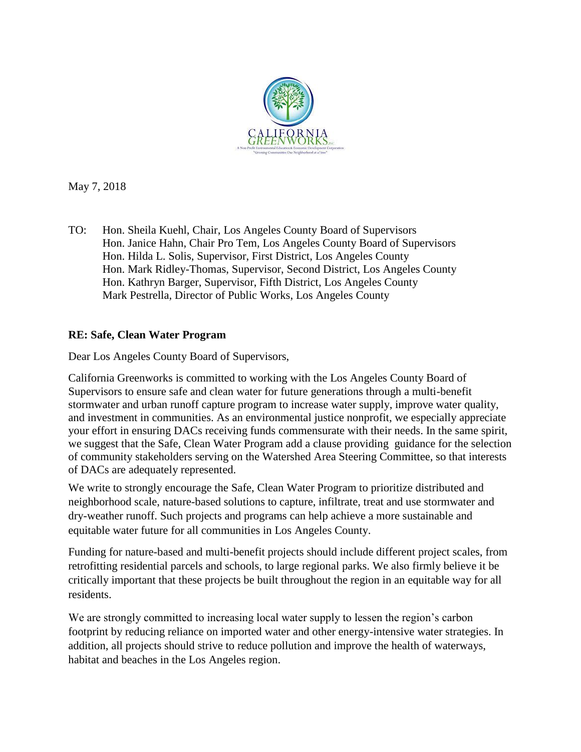

May 7, 2018

TO: Hon. Sheila Kuehl, Chair, Los Angeles County Board of Supervisors Hon. Janice Hahn, Chair Pro Tem, Los Angeles County Board of Supervisors Hon. Hilda L. Solis, Supervisor, First District, Los Angeles County Hon. Mark Ridley-Thomas, Supervisor, Second District, Los Angeles County Hon. Kathryn Barger, Supervisor, Fifth District, Los Angeles County Mark Pestrella, Director of Public Works, Los Angeles County

## **RE: Safe, Clean Water Program**

Dear Los Angeles County Board of Supervisors,

California Greenworks is committed to working with the Los Angeles County Board of Supervisors to ensure safe and clean water for future generations through a multi-benefit stormwater and urban runoff capture program to increase water supply, improve water quality, and investment in communities. As an environmental justice nonprofit, we especially appreciate your effort in ensuring DACs receiving funds commensurate with their needs. In the same spirit, we suggest that the Safe, Clean Water Program add a clause providing guidance for the selection of community stakeholders serving on the Watershed Area Steering Committee, so that interests of DACs are adequately represented.

We write to strongly encourage the Safe, Clean Water Program to prioritize distributed and neighborhood scale, nature-based solutions to capture, infiltrate, treat and use stormwater and dry-weather runoff. Such projects and programs can help achieve a more sustainable and equitable water future for all communities in Los Angeles County.

Funding for nature-based and multi-benefit projects should include different project scales, from retrofitting residential parcels and schools, to large regional parks. We also firmly believe it be critically important that these projects be built throughout the region in an equitable way for all residents.

We are strongly committed to increasing local water supply to lessen the region's carbon footprint by reducing reliance on imported water and other energy-intensive water strategies. In addition, all projects should strive to reduce pollution and improve the health of waterways, habitat and beaches in the Los Angeles region.